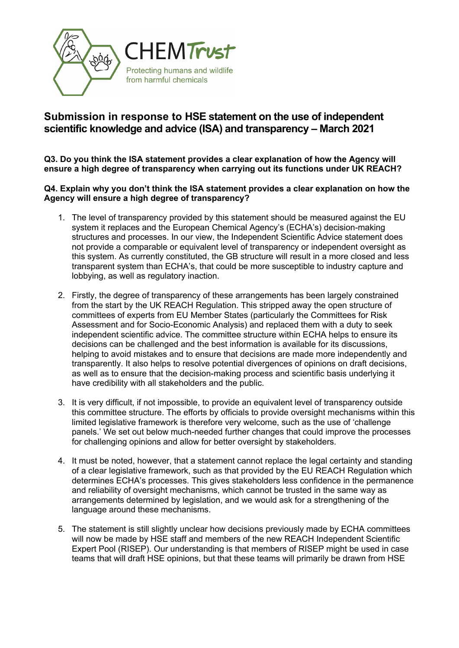

## **Submission in response to HSE statement on the use of independent scientific knowledge and advice (ISA) and transparency – March 2021**

**Q3. Do you think the ISA statement provides a clear explanation of how the Agency will ensure a high degree of transparency when carrying out its functions under UK REACH?**

**Q4. Explain why you don't think the ISA statement provides a clear explanation on how the Agency will ensure a high degree of transparency?**

- 1. The level of transparency provided by this statement should be measured against the EU system it replaces and the European Chemical Agency's (ECHA's) decision-making structures and processes. In our view, the Independent Scientific Advice statement does not provide a comparable or equivalent level of transparency or independent oversight as this system. As currently constituted, the GB structure will result in a more closed and less transparent system than ECHA's, that could be more susceptible to industry capture and lobbying, as well as regulatory inaction.
- 2. Firstly, the degree of transparency of these arrangements has been largely constrained from the start by the UK REACH Regulation. This stripped away the open structure of committees of experts from EU Member States (particularly the Committees for Risk Assessment and for Socio-Economic Analysis) and replaced them with a duty to seek independent scientific advice. The committee structure within ECHA helps to ensure its decisions can be challenged and the best information is available for its discussions, helping to avoid mistakes and to ensure that decisions are made more independently and transparently. It also helps to resolve potential divergences of opinions on draft decisions, as well as to ensure that the decision-making process and scientific basis underlying it have credibility with all stakeholders and the public.
- 3. It is very difficult, if not impossible, to provide an equivalent level of transparency outside this committee structure. The efforts by officials to provide oversight mechanisms within this limited legislative framework is therefore very welcome, such as the use of 'challenge panels.' We set out below much-needed further changes that could improve the processes for challenging opinions and allow for better oversight by stakeholders.
- 4. It must be noted, however, that a statement cannot replace the legal certainty and standing of a clear legislative framework, such as that provided by the EU REACH Regulation which determines ECHA's processes. This gives stakeholders less confidence in the permanence and reliability of oversight mechanisms, which cannot be trusted in the same way as arrangements determined by legislation, and we would ask for a strengthening of the language around these mechanisms.
- 5. The statement is still slightly unclear how decisions previously made by ECHA committees will now be made by HSE staff and members of the new REACH Independent Scientific Expert Pool (RISEP). Our understanding is that members of RISEP might be used in case teams that will draft HSE opinions, but that these teams will primarily be drawn from HSE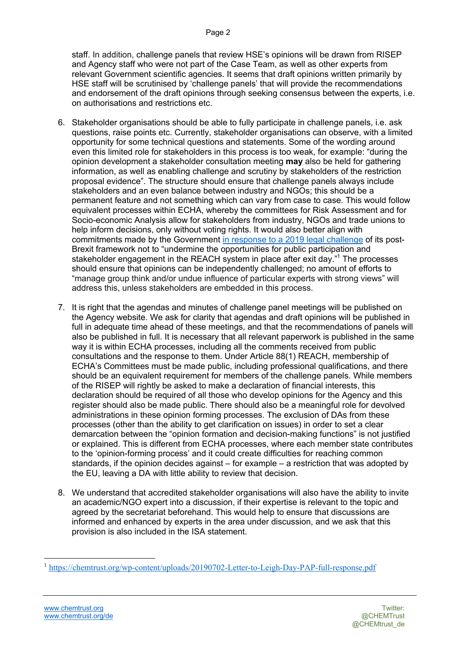staff. In addition, challenge panels that review HSE's opinions will be drawn from RISEP and Agency staff who were not part of the Case Team, as well as other experts from relevant Government scientific agencies. It seems that draft opinions written primarily by HSE staff will be scrutinised by 'challenge panels' that will provide the recommendations and endorsement of the draft opinions through seeking consensus between the experts, i.e. on authorisations and restrictions etc.

- 6. Stakeholder organisations should be able to fully participate in challenge panels, i.e. ask questions, raise points etc. Currently, stakeholder organisations can observe, with a limited opportunity for some technical questions and statements. Some of the wording around even this limited role for stakeholders in this process is too weak, for example: "during the opinion development a stakeholder consultation meeting **may** also be held for gathering information, as well as enabling challenge and scrutiny by stakeholders of the restriction proposal evidence". The structure should ensure that challenge panels always include stakeholders and an even balance between industry and NGOs; this should be a permanent feature and not something which can vary from case to case. This would follow equivalent processes within ECHA, whereby the committees for Risk Assessment and for Socio-economic Analysis allow for stakeholders from industry, NGOs and trade unions to help inform decisions, only without voting rights. It would also better align with commitments made by the Government in response to a 2019 legal challenge of its post-Brexit framework not to "undermine the opportunities for public participation and stakeholder engagement in the REACH system in place after exit day."<sup>1</sup> The processes should ensure that opinions can be independently challenged; no amount of efforts to "manage group think and/or undue influence of particular experts with strong views" will address this, unless stakeholders are embedded in this process.
- 7. It is right that the agendas and minutes of challenge panel meetings will be published on the Agency website. We ask for clarity that agendas and draft opinions will be published in full in adequate time ahead of these meetings, and that the recommendations of panels will also be published in full. It is necessary that all relevant paperwork is published in the same way it is within ECHA processes, including all the comments received from public consultations and the response to them. Under Article 88(1) REACH, membership of ECHA's Committees must be made public, including professional qualifications, and there should be an equivalent requirement for members of the challenge panels. While members of the RISEP will rightly be asked to make a declaration of financial interests, this declaration should be required of all those who develop opinions for the Agency and this register should also be made public. There should also be a meaningful role for devolved administrations in these opinion forming processes. The exclusion of DAs from these processes (other than the ability to get clarification on issues) in order to set a clear demarcation between the "opinion formation and decision-making functions" is not justified or explained. This is different from ECHA processes, where each member state contributes to the 'opinion-forming process' and it could create difficulties for reaching common standards, if the opinion decides against – for example – a restriction that was adopted by the EU, leaving a DA with little ability to review that decision.
- 8. We understand that accredited stakeholder organisations will also have the ability to invite an academic/NGO expert into a discussion, if their expertise is relevant to the topic and agreed by the secretariat beforehand. This would help to ensure that discussions are informed and enhanced by experts in the area under discussion, and we ask that this provision is also included in the ISA statement.

<sup>&</sup>lt;sup>1</sup> https://chemtrust.org/wp-content/uploads/20190702-Letter-to-Leigh-Day-PAP-full-response.pdf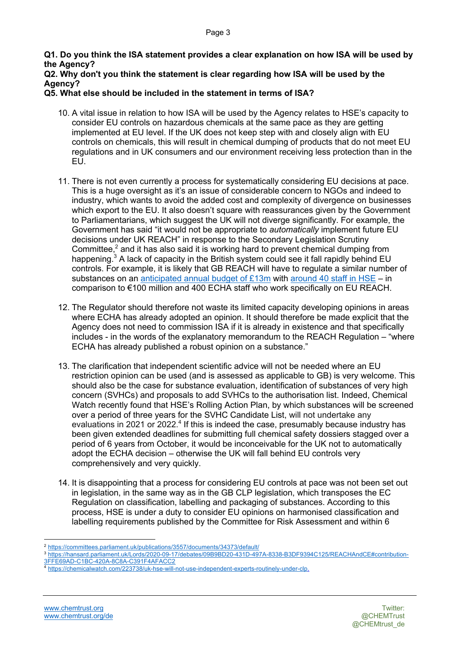- **Q1. Do you think the ISA statement provides a clear explanation on how ISA will be used by the Agency?**
- **Q2. Why don't you think the statement is clear regarding how ISA will be used by the Agency?**

## **Q5. What else should be included in the statement in terms of ISA?**

- 10. A vital issue in relation to how ISA will be used by the Agency relates to HSE's capacity to consider EU controls on hazardous chemicals at the same pace as they are getting implemented at EU level. If the UK does not keep step with and closely align with EU controls on chemicals, this will result in chemical dumping of products that do not meet EU regulations and in UK consumers and our environment receiving less protection than in the EU.
- 11. There is not even currently a process for systematically considering EU decisions at pace. This is a huge oversight as it's an issue of considerable concern to NGOs and indeed to industry, which wants to avoid the added cost and complexity of divergence on businesses which export to the EU. It also doesn't square with reassurances given by the Government to Parliamentarians, which suggest the UK will not diverge significantly. For example, the Government has said "it would not be appropriate to *automatically* implement future EU decisions under UK REACH" in response to the Secondary Legislation Scrutiny Committee, $<sup>2</sup>$  and it has also said it is working hard to prevent chemical dumping from</sup> happening.<sup>3</sup> A lack of capacity in the British system could see it fall rapidly behind EU controls. For example, it is likely that GB REACH will have to regulate a similar number of substances on an anticipated annual budget of £13m with around 40 staff in HSE – in comparison to €100 million and 400 ECHA staff who work specifically on EU REACH.
- 12. The Regulator should therefore not waste its limited capacity developing opinions in areas where ECHA has already adopted an opinion. It should therefore be made explicit that the Agency does not need to commission ISA if it is already in existence and that specifically includes - in the words of the explanatory memorandum to the REACH Regulation – "where ECHA has already published a robust opinion on a substance."
- 13. The clarification that independent scientific advice will not be needed where an EU restriction opinion can be used (and is assessed as applicable to GB) is very welcome. This should also be the case for substance evaluation, identification of substances of very high concern (SVHCs) and proposals to add SVHCs to the authorisation list. Indeed, Chemical Watch recently found that HSE's Rolling Action Plan, by which substances will be screened over a period of three years for the SVHC Candidate List, will not undertake any evaluations in 2021 or 2022.<sup>4</sup> If this is indeed the case, presumably because industry has been given extended deadlines for submitting full chemical safety dossiers stagged over a period of 6 years from October, it would be inconceivable for the UK not to automatically adopt the ECHA decision – otherwise the UK will fall behind EU controls very comprehensively and very quickly.
- 14. It is disappointing that a process for considering EU controls at pace was not been set out in legislation, in the same way as in the GB CLP legislation, which transposes the EC Regulation on classification, labelling and packaging of substances. According to this process, HSE is under a duty to consider EU opinions on harmonised classification and labelling requirements published by the Committee for Risk Assessment and within 6

<sup>2</sup> https://committees.parliament.uk/publications/3557/documents/34373/default/

https://hansard.parliament.uk/Lords/2020-09-17/debates/09B9BD20-431D-497A-8338-B3DF9394C125/REACHAndCE#contribution-3FFE69AD-C1BC-420A-8C8A-C391F4AFACC2

<sup>4</sup> https://chemicalwatch.com/223738/uk-hse-will-not-use-independent-experts-routinely-under-clp.